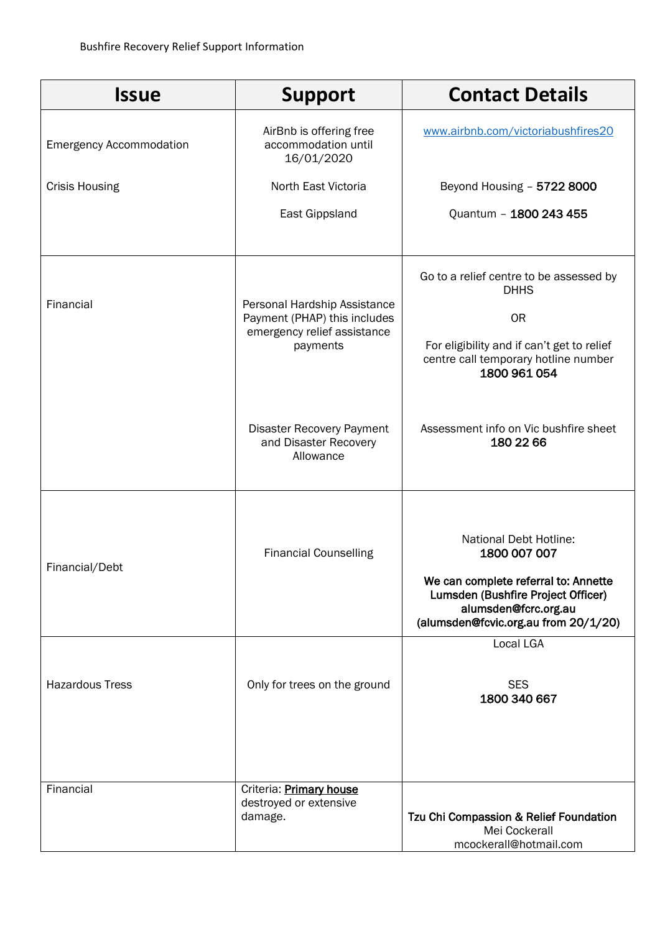| <b>Issue</b>                   | <b>Support</b>                                                                                          | <b>Contact Details</b>                                                                                                                                                               |
|--------------------------------|---------------------------------------------------------------------------------------------------------|--------------------------------------------------------------------------------------------------------------------------------------------------------------------------------------|
| <b>Emergency Accommodation</b> | AirBnb is offering free<br>accommodation until<br>16/01/2020                                            | www.airbnb.com/victoriabushfires20                                                                                                                                                   |
| <b>Crisis Housing</b>          | North East Victoria                                                                                     | Beyond Housing - 5722 8000                                                                                                                                                           |
|                                | East Gippsland                                                                                          | Quantum - 1800 243 455                                                                                                                                                               |
| Financial                      | Personal Hardship Assistance<br>Payment (PHAP) this includes<br>emergency relief assistance<br>payments | Go to a relief centre to be assessed by<br><b>DHHS</b><br><b>OR</b><br>For eligibility and if can't get to relief<br>centre call temporary hotline number<br>1800 961 054            |
|                                | <b>Disaster Recovery Payment</b><br>and Disaster Recovery<br>Allowance                                  | Assessment info on Vic bushfire sheet<br>180 22 66                                                                                                                                   |
| Financial/Debt                 | <b>Financial Counselling</b>                                                                            | National Debt Hotline:<br>1800 007 007<br>We can complete referral to: Annette<br>Lumsden (Bushfire Project Officer)<br>alumsden@fcrc.org.au<br>(alumsden@fcvic.org.au from 20/1/20) |
| <b>Hazardous Tress</b>         | Only for trees on the ground                                                                            | <b>Local LGA</b><br><b>SES</b><br>1800 340 667                                                                                                                                       |
| Financial                      | Criteria: Primary house<br>destroyed or extensive<br>damage.                                            | Tzu Chi Compassion & Relief Foundation<br>Mei Cockerall<br>mcockerall@hotmail.com                                                                                                    |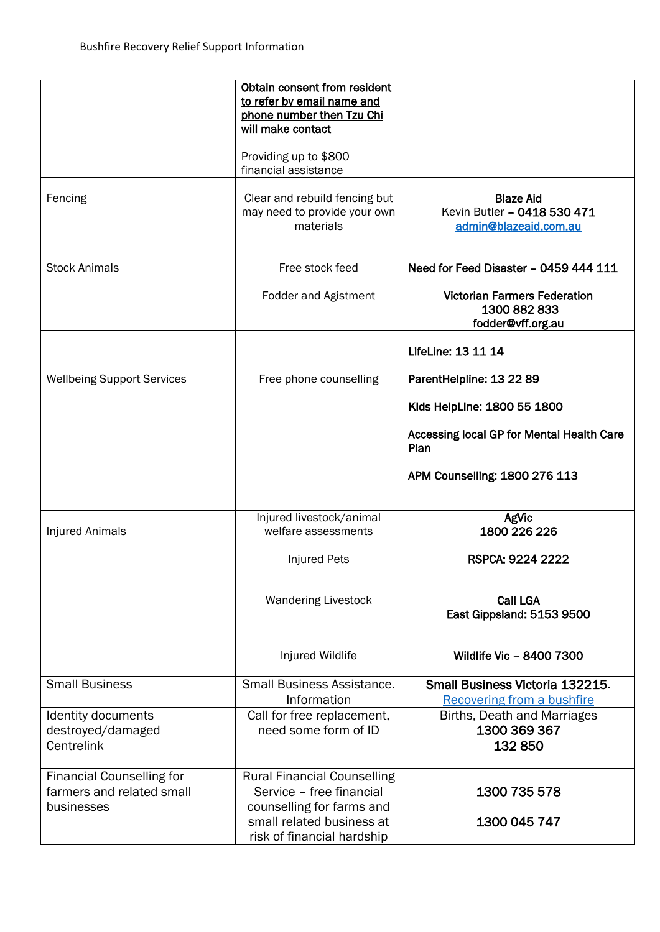|                                   | Obtain consent from resident<br>to refer by email name and<br>phone number then Tzu Chi<br>will make contact<br>Providing up to \$800<br>financial assistance |                                                                          |
|-----------------------------------|---------------------------------------------------------------------------------------------------------------------------------------------------------------|--------------------------------------------------------------------------|
| Fencing                           | Clear and rebuild fencing but<br>may need to provide your own<br>materials                                                                                    | <b>Blaze Aid</b><br>Kevin Butler - 0418 530 471<br>admin@blazeaid.com.au |
| <b>Stock Animals</b>              | Free stock feed                                                                                                                                               | Need for Feed Disaster - 0459 444 111                                    |
|                                   | <b>Fodder and Agistment</b>                                                                                                                                   | <b>Victorian Farmers Federation</b><br>1300 882 833<br>fodder@vff.org.au |
|                                   |                                                                                                                                                               | LifeLine: 13 11 14                                                       |
| <b>Wellbeing Support Services</b> | Free phone counselling                                                                                                                                        | ParentHelpline: 13 22 89                                                 |
|                                   |                                                                                                                                                               | Kids HelpLine: 1800 55 1800                                              |
|                                   |                                                                                                                                                               | Accessing local GP for Mental Health Care<br>Plan                        |
|                                   |                                                                                                                                                               | APM Counselling: 1800 276 113                                            |
|                                   | Injured livestock/animal                                                                                                                                      | AgVic                                                                    |
| <b>Injured Animals</b>            | welfare assessments                                                                                                                                           | 1800 226 226                                                             |
|                                   | <b>Injured Pets</b>                                                                                                                                           | RSPCA: 9224 2222                                                         |
|                                   | <b>Wandering Livestock</b>                                                                                                                                    | <b>Call LGA</b><br>East Gippsland: 5153 9500                             |
|                                   | Injured Wildlife                                                                                                                                              | Wildlife Vic - 8400 7300                                                 |
| <b>Small Business</b>             | Small Business Assistance.                                                                                                                                    | Small Business Victoria 132215.                                          |
| Identity documents                | Information<br>Call for free replacement,                                                                                                                     | <b>Recovering from a bushfire</b><br>Births, Death and Marriages         |
| destroyed/damaged                 | need some form of ID                                                                                                                                          | 1300 369 367                                                             |
| Centrelink                        |                                                                                                                                                               | 132850                                                                   |
| <b>Financial Counselling for</b>  | <b>Rural Financial Counselling</b>                                                                                                                            |                                                                          |
| farmers and related small         | Service - free financial                                                                                                                                      | 1300 735 578                                                             |
| businesses                        | counselling for farms and<br>small related business at<br>risk of financial hardship                                                                          | 1300 045 747                                                             |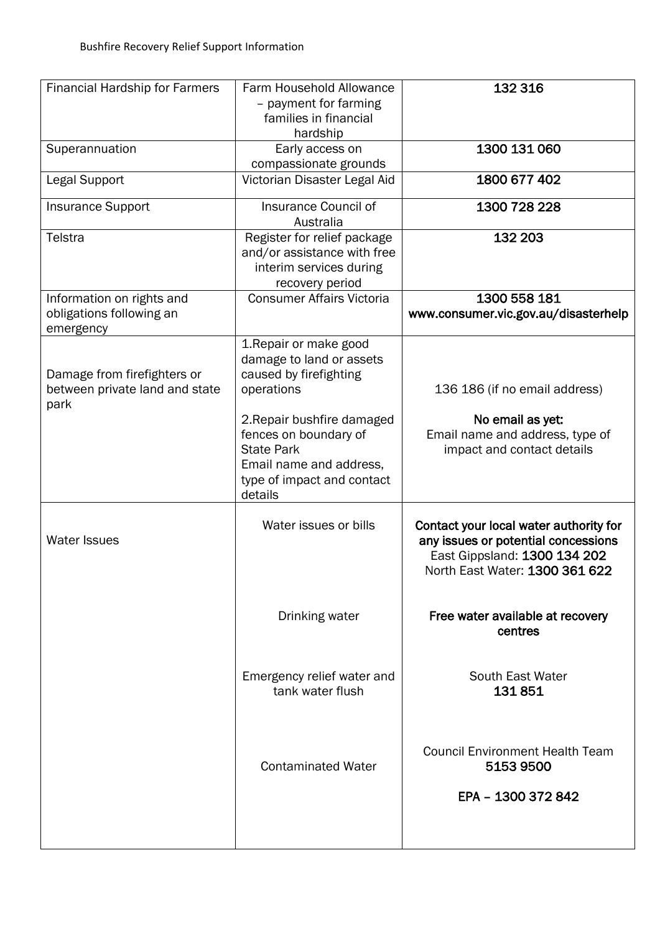| <b>Financial Hardship for Farmers</b>                                 | Farm Household Allowance<br>- payment for farming<br>families in financial<br>hardship                                                                                                                                                     | 132 316                                                                                                                                         |
|-----------------------------------------------------------------------|--------------------------------------------------------------------------------------------------------------------------------------------------------------------------------------------------------------------------------------------|-------------------------------------------------------------------------------------------------------------------------------------------------|
| Superannuation                                                        | Early access on<br>compassionate grounds                                                                                                                                                                                                   | 1300 131 060                                                                                                                                    |
| Legal Support                                                         | Victorian Disaster Legal Aid                                                                                                                                                                                                               | 1800 677 402                                                                                                                                    |
| <b>Insurance Support</b>                                              | Insurance Council of<br>Australia                                                                                                                                                                                                          | 1300 728 228                                                                                                                                    |
| Telstra                                                               | Register for relief package<br>and/or assistance with free<br>interim services during<br>recovery period                                                                                                                                   | 132 203                                                                                                                                         |
| Information on rights and<br>obligations following an<br>emergency    | <b>Consumer Affairs Victoria</b>                                                                                                                                                                                                           | 1300 558 181<br>www.consumer.vic.gov.au/disasterhelp                                                                                            |
| Damage from firefighters or<br>between private land and state<br>park | 1. Repair or make good<br>damage to land or assets<br>caused by firefighting<br>operations<br>2. Repair bushfire damaged<br>fences on boundary of<br><b>State Park</b><br>Email name and address,<br>type of impact and contact<br>details | 136 186 (if no email address)<br>No email as yet:<br>Email name and address, type of<br>impact and contact details                              |
| <b>Water Issues</b>                                                   | Water issues or bills                                                                                                                                                                                                                      | Contact your local water authority for<br>any issues or potential concessions<br>East Gippsland: 1300 134 202<br>North East Water: 1300 361 622 |
|                                                                       | Drinking water                                                                                                                                                                                                                             | Free water available at recovery<br>centres                                                                                                     |
|                                                                       | Emergency relief water and<br>tank water flush                                                                                                                                                                                             | South East Water<br>131851                                                                                                                      |
|                                                                       | <b>Contaminated Water</b>                                                                                                                                                                                                                  | <b>Council Environment Health Team</b><br>51539500<br>EPA - 1300 372 842                                                                        |
|                                                                       |                                                                                                                                                                                                                                            |                                                                                                                                                 |